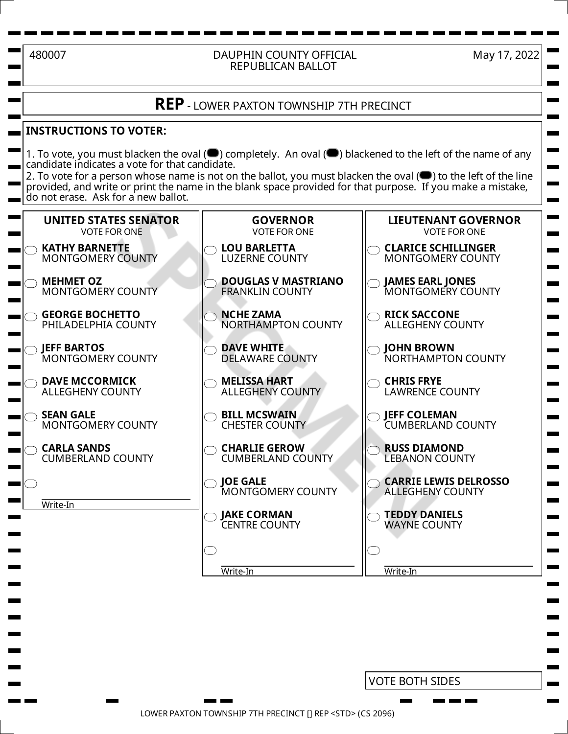## 480007 DAUPHIN COUNTY OFFICIAL REPUBLICAN BALLOT

May 17, 2022

## **REP** - LOWER PAXTON TOWNSHIP 7TH PRECINCT

## **INSTRUCTIONS TO VOTER:**

1. To vote, you must blacken the oval ( $\blacksquare$ ) completely. An oval ( $\blacksquare$ ) blackened to the left of the name of any candidate indicates a vote for that candidate.

2. To vote for a person whose name is not on the ballot, you must blacken the oval  $($ ) to the left of the line provided, and write or print the name in the blank space provided for that purpose. If you make a mistake, do not erase. Ask for a new ballot.



VOTE BOTH SIDES